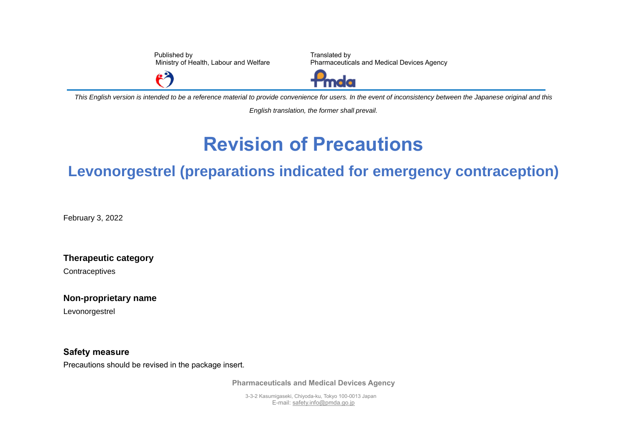Published by Ministry of Health, Labour and Welfare

 $\mathbf{P}$ 

Translated by Pharmaceuticals and Medical Devices Agency



*This English version is intended to be a reference material to provide convenience for users. In the event of inconsistency between the Japanese original and this* 

*English translation, the former shall prevail.*

## **Revision of Precautions**

## **Levonorgestrel (preparations indicated for emergency contraception)**

February 3, 2022

**Therapeutic category**

**Contraceptives** 

**Non-proprietary name**

Levonorgestrel

**Safety measure**

Precautions should be revised in the package insert.

**Pharmaceuticals and Medical Devices Agency**

3-3-2 Kasumigaseki, Chiyoda-ku, Tokyo 100-0013 Japan E-mail[: safety.info@pmda.go.jp](mailto:safety.info@pmda.go.jp)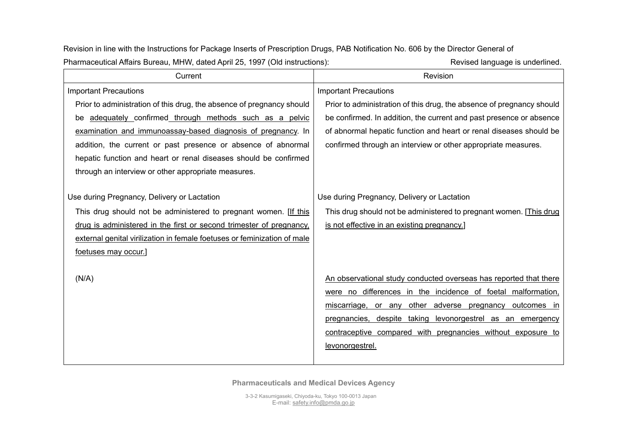Current **Current Revision** Important Precautions Prior to administration of this drug, the absence of pregnancy should be adequately confirmed through methods such as a pelvic examination and immunoassay-based diagnosis of pregnancy. In addition, the current or past presence or absence of abnormal hepatic function and heart or renal diseases should be confirmed through an interview or other appropriate measures. Use during Pregnancy, Delivery or Lactation This drug should not be administered to pregnant women. [If this drug is administered in the first or second trimester of pregnancy, external genital virilization in female foetuses or feminization of male foetuses may occur.]  $(N/A)$ Important Precautions Prior to administration of this drug, the absence of pregnancy should be confirmed. In addition, the current and past presence or absence of abnormal hepatic function and heart or renal diseases should be confirmed through an interview or other appropriate measures. Use during Pregnancy, Delivery or Lactation This drug should not be administered to pregnant women. [This drug is not effective in an existing pregnancy.] An observational study conducted overseas has reported that there were no differences in the incidence of foetal malformation, miscarriage, or any other adverse pregnancy outcomes in pregnancies, despite taking levonorgestrel as an emergency contraceptive compared with pregnancies without exposure to levonorgestrel.

Revision in line with the Instructions for Package Inserts of Prescription Drugs, PAB Notification No. 606 by the Director General of Pharmaceutical Affairs Bureau, MHW, dated April 25, 1997 (Old instructions): Revised language is underlined.

**Pharmaceuticals and Medical Devices Agency**

3-3-2 Kasumigaseki, Chiyoda-ku, Tokyo 100-0013 Japan E-mail[: safety.info@pmda.go.jp](mailto:safety.info@pmda.go.jp)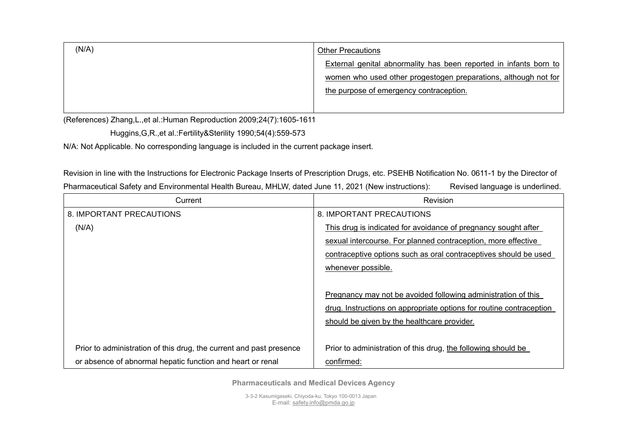| (N/A) | <b>Other Precautions</b>                                          |
|-------|-------------------------------------------------------------------|
|       | External genital abnormality has been reported in infants born to |
|       | women who used other progestogen preparations, although not for   |
|       | the purpose of emergency contraception.                           |
|       |                                                                   |

(References) Zhang,L.,et al.:Human Reproduction 2009;24(7):1605-1611

Huggins,G,R.,et al.:Fertility&Sterility 1990;54(4):559-573

N/A: Not Applicable. No corresponding language is included in the current package insert.

Revision in line with the Instructions for Electronic Package Inserts of Prescription Drugs, etc. PSEHB Notification No. 0611-1 by the Director of Pharmaceutical Safety and Environmental Health Bureau, MHLW, dated June 11, 2021 (New instructions): Revised language is underlined.

| Current                                                             | Revision                                                            |
|---------------------------------------------------------------------|---------------------------------------------------------------------|
| 8. IMPORTANT PRECAUTIONS                                            | 8. IMPORTANT PRECAUTIONS                                            |
| (N/A)                                                               | This drug is indicated for avoidance of pregnancy sought after      |
|                                                                     | sexual intercourse. For planned contraception, more effective       |
|                                                                     | contraceptive options such as oral contraceptives should be used    |
|                                                                     | whenever possible.                                                  |
|                                                                     |                                                                     |
|                                                                     | Pregnancy may not be avoided following administration of this       |
|                                                                     | drug. Instructions on appropriate options for routine contraception |
|                                                                     | should be given by the healthcare provider.                         |
|                                                                     |                                                                     |
| Prior to administration of this drug, the current and past presence | Prior to administration of this drug, the following should be       |
| or absence of abnormal hepatic function and heart or renal          | confirmed:                                                          |

**Pharmaceuticals and Medical Devices Agency**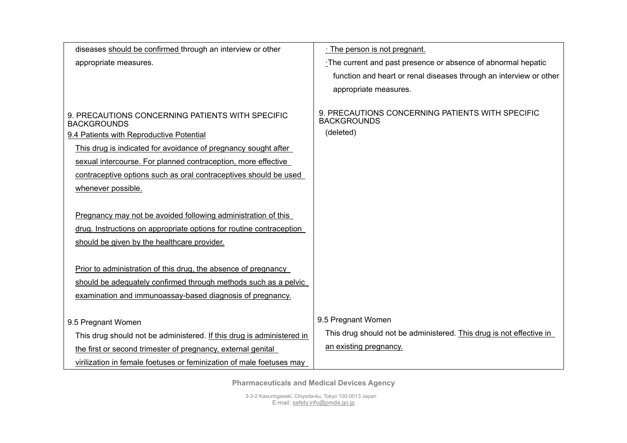| diseases should be confirmed through an interview or other             | . The person is not pregnant.                                          |
|------------------------------------------------------------------------|------------------------------------------------------------------------|
| appropriate measures.                                                  | The current and past presence or absence of abnormal hepatic           |
|                                                                        | function and heart or renal diseases through an interview or other     |
|                                                                        | appropriate measures.                                                  |
|                                                                        |                                                                        |
| 9. PRECAUTIONS CONCERNING PATIENTS WITH SPECIFIC<br><b>BACKGROUNDS</b> | 9. PRECAUTIONS CONCERNING PATIENTS WITH SPECIFIC<br><b>BACKGROUNDS</b> |
| 9.4 Patients with Reproductive Potential                               | (deleted)                                                              |
| This drug is indicated for avoidance of pregnancy sought after         |                                                                        |
| sexual intercourse. For planned contraception, more effective          |                                                                        |
| contraceptive options such as oral contraceptives should be used       |                                                                        |
| whenever possible.                                                     |                                                                        |
|                                                                        |                                                                        |
| Pregnancy may not be avoided following administration of this          |                                                                        |
| drug. Instructions on appropriate options for routine contraception    |                                                                        |
| should be given by the healthcare provider.                            |                                                                        |
|                                                                        |                                                                        |
| Prior to administration of this drug, the absence of pregnancy         |                                                                        |
| should be adequately confirmed through methods such as a pelvic        |                                                                        |
| examination and immunoassay-based diagnosis of pregnancy.              |                                                                        |
|                                                                        |                                                                        |
| 9.5 Pregnant Women                                                     | 9.5 Pregnant Women                                                     |
| This drug should not be administered. If this drug is administered in  | This drug should not be administered. This drug is not effective in    |
| the first or second trimester of pregnancy, external genital           | an existing pregnancy.                                                 |
| virilization in female foetuses or feminization of male foetuses may   |                                                                        |

**Pharmaceuticals and Medical Devices Agency**

3-3-2 Kasumigaseki, Chiyoda-ku, Tokyo 100-0013 Japan E-mail[: safety.info@pmda.go.jp](mailto:safety.info@pmda.go.jp)